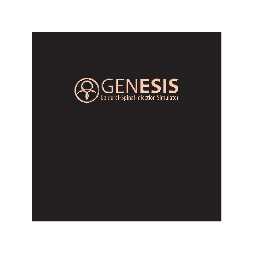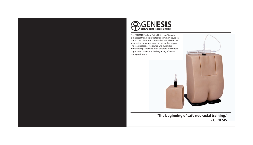

The GEN**ESIS** Epidural-Spinal Injection Simulator is the ideal training simulator for common neuraxial blocks. This ultrasound compatible model contains anatomical structures found in the lumbar region. The realistic loss of resistance and fluid filled intrathecal space allows users to locate the correct target sites. GEN**ESIS** is the beginning of lumbar block proficiency.



or over our always and it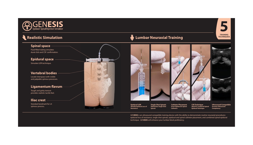





GEN**ESIS** is an ultrasound compatible training device with the ability to demonstrate routine neuraxial procedures: epidural loss of resistance, single shot spinals, epidural and spinal catheter placement, and combined spinal epidural technique. GEN**ESIS** will enhance your lumbar block proficiency.

**5**

**TRAINING TECHNIQUES**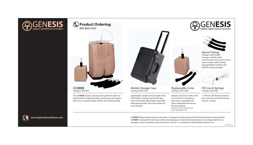



The GEN**ESIS** includes a body housing with the option of flexed seated or lateral decubitus positioning, two replaceable cores, six spinal tubings, fill line, and locking syringe.



Lightweight, airtight and watertight. Press & Pull latches. Double-layered soft-grip solid-core handle, lightweight retractable telescoping handle, and in-line wheels for easy transport.

Replaceable Cores Catalog #: 600-CORE Realistic skin texture with active L3-L4 and L4-L5 interspaces. Each core is packaged with three replaceable and easy to fill spinal tubings.



GENESIS Epidural-Spinal Injection Simulator

Fill Line & Syringe Catalog #: 600-LINE

(600TW) tubing available.

11" fill line with female to female luer connector and 30ml locking VacLok™ syringe.



GEN**ESIS** Epidural-Spinal Injection Simulator is designed, manufactured, and distributed by Epimed International. GEN**ESIS** is designed for training and educational purposes only. Epimed International is not responsible for any damage or injury caused by using this product. VacLok™ is a trademark of Merit Medical Systems, Inc.

(inquire for details on geriatric and obese replaceable cores)

LT-135 Rev. 0